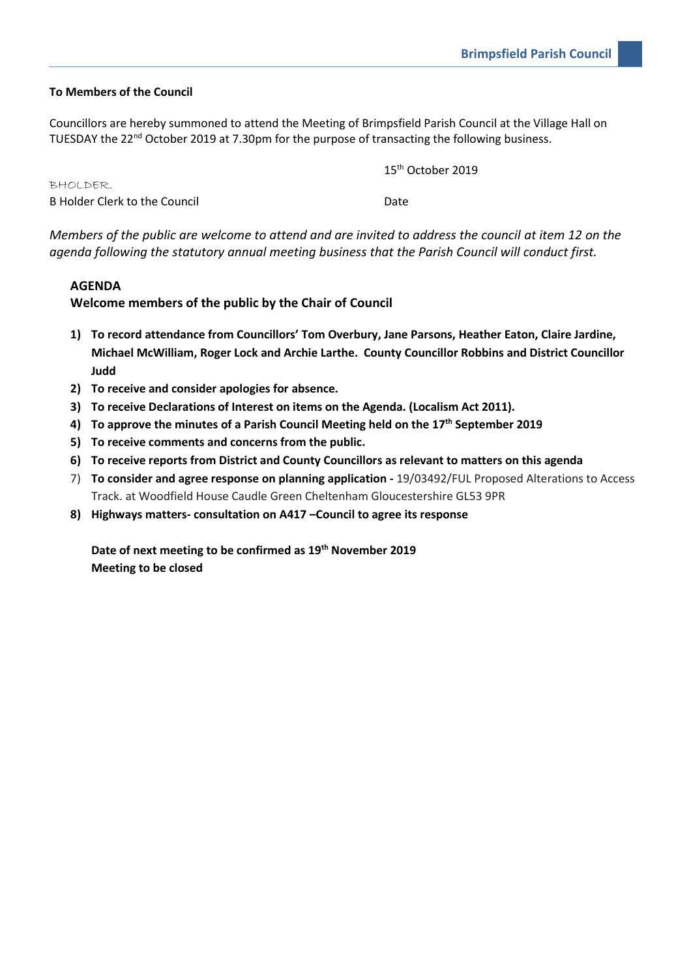#### **To Members of the Council**

Councillors are hereby summoned to attend the Meeting of Brimpsfield Parish Council at the Village Hall on TUESDAY the 22<sup>nd</sup> October 2019 at 7.30pm for the purpose of transacting the following business.

15th October 2019

| BHOLDER.                      |      |  |
|-------------------------------|------|--|
| B Holder Clerk to the Council | Date |  |

*Members of the public are welcome to attend and are invited to address the council at item 12 on the agenda following the statutory annual meeting business that the Parish Council will conduct first.*

#### **AGENDA**

**Welcome members of the public by the Chair of Council**

- **1) To record attendance from Councillors' Tom Overbury, Jane Parsons, Heather Eaton, Claire Jardine, Michael McWilliam, Roger Lock and Archie Larthe. County Councillor Robbins and District Councillor Judd**
- **2) To receive and consider apologies for absence.**
- **3) To receive Declarations of Interest on items on the Agenda. (Localism Act 2011).**
- **4) To approve the minutes of a Parish Council Meeting held on the 17th September 2019**
- **5) To receive comments and concerns from the public.**
- **6) To receive reports from District and County Councillors as relevant to matters on this agenda**
- 7) **To consider and agree response on planning application -** 19/03492/FUL Proposed Alterations to Access Track. at Woodfield House Caudle Green Cheltenham Gloucestershire GL53 9PR
- **8) Highways matters- consultation on A417 –Council to agree its response**

**Date of next meeting to be confirmed as 19th November 2019 Meeting to be closed**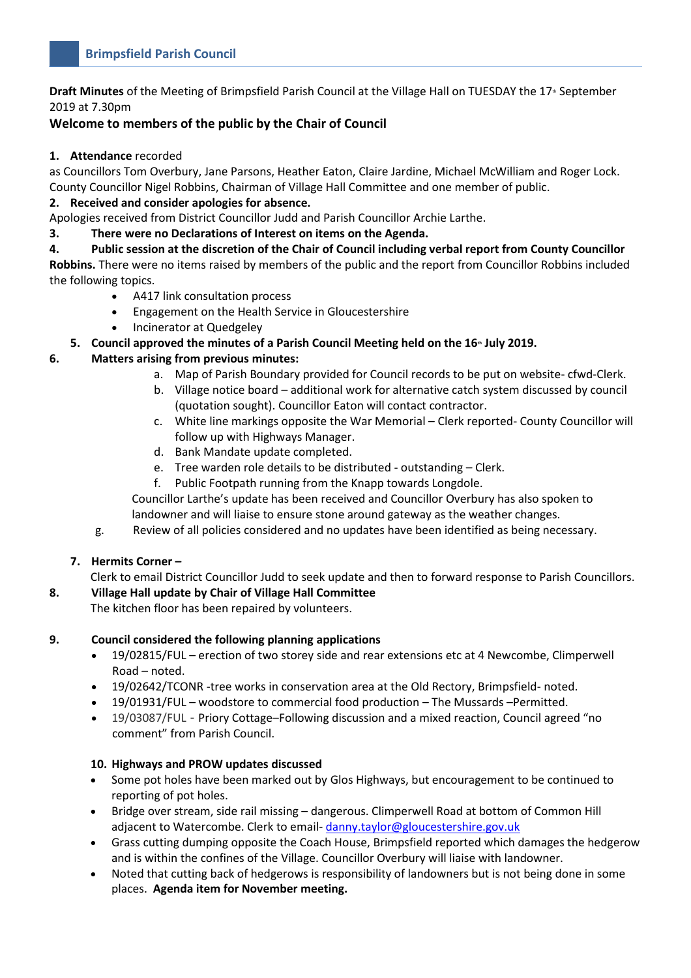**Draft Minutes** of the Meeting of Brimpsfield Parish Council at the Village Hall on TUESDAY the 17<sup>th</sup> September 2019 at 7.30pm

# **Welcome to members of the public by the Chair of Council**

#### **1. Attendance** recorded

as Councillors Tom Overbury, Jane Parsons, Heather Eaton, Claire Jardine, Michael McWilliam and Roger Lock. County Councillor Nigel Robbins, Chairman of Village Hall Committee and one member of public.

# **2. Received and consider apologies for absence.**

Apologies received from District Councillor Judd and Parish Councillor Archie Larthe.

## **3. There were no Declarations of Interest on items on the Agenda.**

**4. Public session at the discretion of the Chair of Council including verbal report from County Councillor Robbins.** There were no items raised by members of the public and the report from Councillor Robbins included the following topics.

- A417 link consultation process
- Engagement on the Health Service in Gloucestershire
- Incinerator at Quedgeley

# **5. Council approved the minutes of a Parish Council Meeting held on the 16th July 2019.**

# **6. Matters arising from previous minutes:**

- a. Map of Parish Boundary provided for Council records to be put on website- cfwd-Clerk.
- b. Village notice board additional work for alternative catch system discussed by council (quotation sought). Councillor Eaton will contact contractor.
- c. White line markings opposite the War Memorial Clerk reported- County Councillor will follow up with Highways Manager.
- d. Bank Mandate update completed.
- e. Tree warden role details to be distributed outstanding Clerk.
- f. Public Footpath running from the Knapp towards Longdole.

Councillor Larthe's update has been received and Councillor Overbury has also spoken to landowner and will liaise to ensure stone around gateway as the weather changes.

g. Review of all policies considered and no updates have been identified as being necessary.

## **7. Hermits Corner –**

Clerk to email District Councillor Judd to seek update and then to forward response to Parish Councillors.

## **8. Village Hall update by Chair of Village Hall Committee**

The kitchen floor has been repaired by volunteers.

## **9. Council considered the following planning applications**

- 19/02815/FUL erection of two storey side and rear extensions etc at 4 Newcombe, Climperwell Road – noted.
- 19/02642/TCONR -tree works in conservation area at the Old Rectory, Brimpsfield- noted.
- 19/01931/FUL woodstore to commercial food production The Mussards –Permitted.
- 19/03087/FUL Priory Cottage–Following discussion and a mixed reaction, Council agreed "no comment" from Parish Council.

## **10. Highways and PROW updates discussed**

- Some pot holes have been marked out by Glos Highways, but encouragement to be continued to reporting of pot holes.
- Bridge over stream, side rail missing dangerous. Climperwell Road at bottom of Common Hill adjacent to Watercombe. Clerk to email- [danny.taylor@gloucestershire.gov.uk](mailto:danny.taylor@gloucestershire.gov.uk)
- Grass cutting dumping opposite the Coach House, Brimpsfield reported which damages the hedgerow and is within the confines of the Village. Councillor Overbury will liaise with landowner.
- Noted that cutting back of hedgerows is responsibility of landowners but is not being done in some places. **Agenda item for November meeting.**